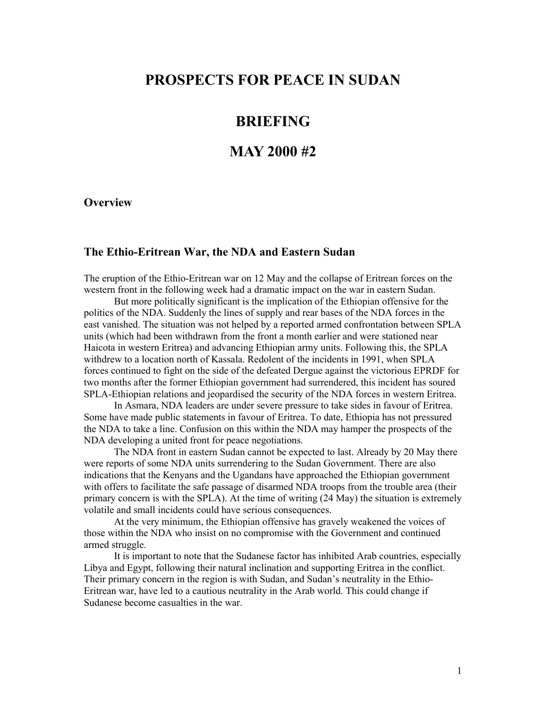# **PROSPECTS FOR PEACE IN SUDAN**

### **BRIEFING**

## **MAY 2000 #2**

#### **Overview**

#### **The Ethio-Eritrean War, the NDA and Eastern Sudan**

The eruption of the Ethio-Eritrean war on 12 May and the collapse of Eritrean forces on the western front in the following week had a dramatic impact on the war in eastern Sudan.

But more politically significant is the implication of the Ethiopian offensive for the politics of the NDA. Suddenly the lines of supply and rear bases of the NDA forces in the east vanished. The situation was not helped by a reported armed confrontation between SPLA units (which had been withdrawn from the front a month earlier and were stationed near Haicota in western Eritrea) and advancing Ethiopian army units. Following this, the SPLA withdrew to a location north of Kassala. Redolent of the incidents in 1991, when SPLA forces continued to fight on the side of the defeated Dergue against the victorious EPRDF for two months after the former Ethiopian government had surrendered, this incident has soured SPLA-Ethiopian relations and jeopardised the security of the NDA forces in western Eritrea.

In Asmara, NDA leaders are under severe pressure to take sides in favour of Eritrea. Some have made public statements in favour of Eritrea. To date, Ethiopia has not pressured the NDA to take a line. Confusion on this within the NDA may hamper the prospects of the NDA developing a united front for peace negotiations.

The NDA front in eastern Sudan cannot be expected to last. Already by 20 May there were reports of some NDA units surrendering to the Sudan Government. There are also indications that the Kenyans and the Ugandans have approached the Ethiopian government with offers to facilitate the safe passage of disarmed NDA troops from the trouble area (their primary concern is with the SPLA). At the time of writing (24 May) the situation is extremely volatile and small incidents could have serious consequences.

At the very minimum, the Ethiopian offensive has gravely weakened the voices of those within the NDA who insist on no compromise with the Government and continued armed struggle.

It is important to note that the Sudanese factor has inhibited Arab countries, especially Libya and Egypt, following their natural inclination and supporting Eritrea in the conflict. Their primary concern in the region is with Sudan, and Sudan's neutrality in the Ethio-Eritrean war, have led to a cautious neutrality in the Arab world. This could change if Sudanese become casualties in the war.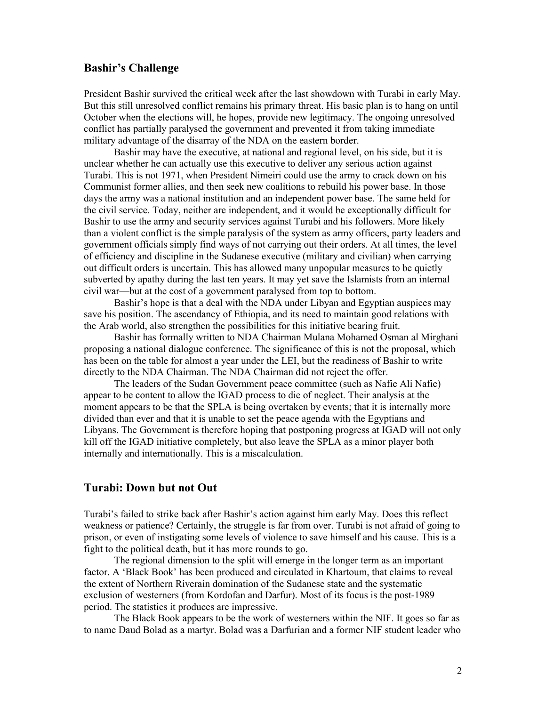#### **Bashir's Challenge**

President Bashir survived the critical week after the last showdown with Turabi in early May. But this still unresolved conflict remains his primary threat. His basic plan is to hang on until October when the elections will, he hopes, provide new legitimacy. The ongoing unresolved conflict has partially paralysed the government and prevented it from taking immediate military advantage of the disarray of the NDA on the eastern border.

Bashir may have the executive, at national and regional level, on his side, but it is unclear whether he can actually use this executive to deliver any serious action against Turabi. This is not 1971, when President Nimeiri could use the army to crack down on his Communist former allies, and then seek new coalitions to rebuild his power base. In those days the army was a national institution and an independent power base. The same held for the civil service. Today, neither are independent, and it would be exceptionally difficult for Bashir to use the army and security services against Turabi and his followers. More likely than a violent conflict is the simple paralysis of the system as army officers, party leaders and government officials simply find ways of not carrying out their orders. At all times, the level of efficiency and discipline in the Sudanese executive (military and civilian) when carrying out difficult orders is uncertain. This has allowed many unpopular measures to be quietly subverted by apathy during the last ten years. It may yet save the Islamists from an internal civil war—but at the cost of a government paralysed from top to bottom.

Bashir's hope is that a deal with the NDA under Libyan and Egyptian auspices may save his position. The ascendancy of Ethiopia, and its need to maintain good relations with the Arab world, also strengthen the possibilities for this initiative bearing fruit.

Bashir has formally written to NDA Chairman Mulana Mohamed Osman al Mirghani proposing a national dialogue conference. The significance of this is not the proposal, which has been on the table for almost a year under the LEI, but the readiness of Bashir to write directly to the NDA Chairman. The NDA Chairman did not reject the offer.

The leaders of the Sudan Government peace committee (such as Nafie Ali Nafie) appear to be content to allow the IGAD process to die of neglect. Their analysis at the moment appears to be that the SPLA is being overtaken by events; that it is internally more divided than ever and that it is unable to set the peace agenda with the Egyptians and Libyans. The Government is therefore hoping that postponing progress at IGAD will not only kill off the IGAD initiative completely, but also leave the SPLA as a minor player both internally and internationally. This is a miscalculation.

#### **Turabi: Down but not Out**

Turabi's failed to strike back after Bashir's action against him early May. Does this reflect weakness or patience? Certainly, the struggle is far from over. Turabi is not afraid of going to prison, or even of instigating some levels of violence to save himself and his cause. This is a fight to the political death, but it has more rounds to go.

The regional dimension to the split will emerge in the longer term as an important factor. A 'Black Book' has been produced and circulated in Khartoum, that claims to reveal the extent of Northern Riverain domination of the Sudanese state and the systematic exclusion of westerners (from Kordofan and Darfur). Most of its focus is the post-1989 period. The statistics it produces are impressive.

The Black Book appears to be the work of westerners within the NIF. It goes so far as to name Daud Bolad as a martyr. Bolad was a Darfurian and a former NIF student leader who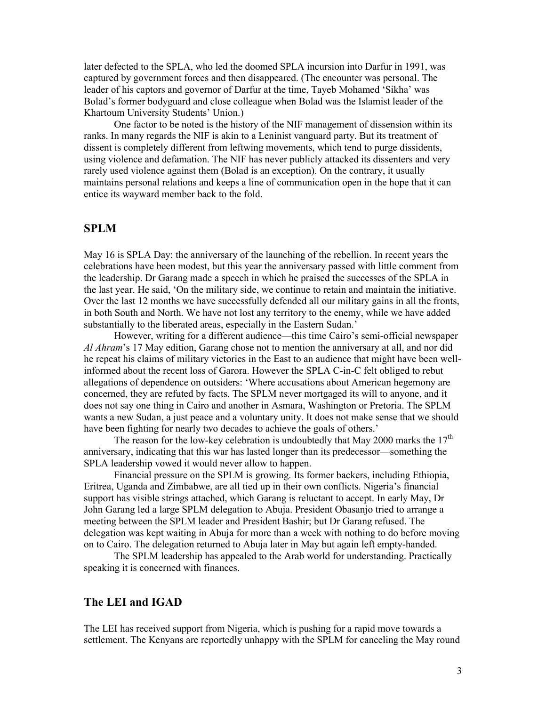later defected to the SPLA, who led the doomed SPLA incursion into Darfur in 1991, was captured by government forces and then disappeared. (The encounter was personal. The leader of his captors and governor of Darfur at the time, Tayeb Mohamed 'Sikha' was Bolad's former bodyguard and close colleague when Bolad was the Islamist leader of the Khartoum University Students' Union.)

One factor to be noted is the history of the NIF management of dissension within its ranks. In many regards the NIF is akin to a Leninist vanguard party. But its treatment of dissent is completely different from leftwing movements, which tend to purge dissidents, using violence and defamation. The NIF has never publicly attacked its dissenters and very rarely used violence against them (Bolad is an exception). On the contrary, it usually maintains personal relations and keeps a line of communication open in the hope that it can entice its wayward member back to the fold.

#### **SPLM**

May 16 is SPLA Day: the anniversary of the launching of the rebellion. In recent years the celebrations have been modest, but this year the anniversary passed with little comment from the leadership. Dr Garang made a speech in which he praised the successes of the SPLA in the last year. He said, 'On the military side, we continue to retain and maintain the initiative. Over the last 12 months we have successfully defended all our military gains in all the fronts, in both South and North. We have not lost any territory to the enemy, while we have added substantially to the liberated areas, especially in the Eastern Sudan.'

However, writing for a different audience—this time Cairo's semi-official newspaper *Al Ahram*'s 17 May edition, Garang chose not to mention the anniversary at all, and nor did he repeat his claims of military victories in the East to an audience that might have been wellinformed about the recent loss of Garora. However the SPLA C-in-C felt obliged to rebut allegations of dependence on outsiders: 'Where accusations about American hegemony are concerned, they are refuted by facts. The SPLM never mortgaged its will to anyone, and it does not say one thing in Cairo and another in Asmara, Washington or Pretoria. The SPLM wants a new Sudan, a just peace and a voluntary unity. It does not make sense that we should have been fighting for nearly two decades to achieve the goals of others.'

The reason for the low-key celebration is undoubtedly that May 2000 marks the  $17<sup>th</sup>$ anniversary, indicating that this war has lasted longer than its predecessor—something the SPLA leadership vowed it would never allow to happen.

Financial pressure on the SPLM is growing. Its former backers, including Ethiopia, Eritrea, Uganda and Zimbabwe, are all tied up in their own conflicts. Nigeria's financial support has visible strings attached, which Garang is reluctant to accept. In early May, Dr John Garang led a large SPLM delegation to Abuja. President Obasanjo tried to arrange a meeting between the SPLM leader and President Bashir; but Dr Garang refused. The delegation was kept waiting in Abuja for more than a week with nothing to do before moving on to Cairo. The delegation returned to Abuja later in May but again left empty-handed.

The SPLM leadership has appealed to the Arab world for understanding. Practically speaking it is concerned with finances.

### **The LEI and IGAD**

The LEI has received support from Nigeria, which is pushing for a rapid move towards a settlement. The Kenyans are reportedly unhappy with the SPLM for canceling the May round